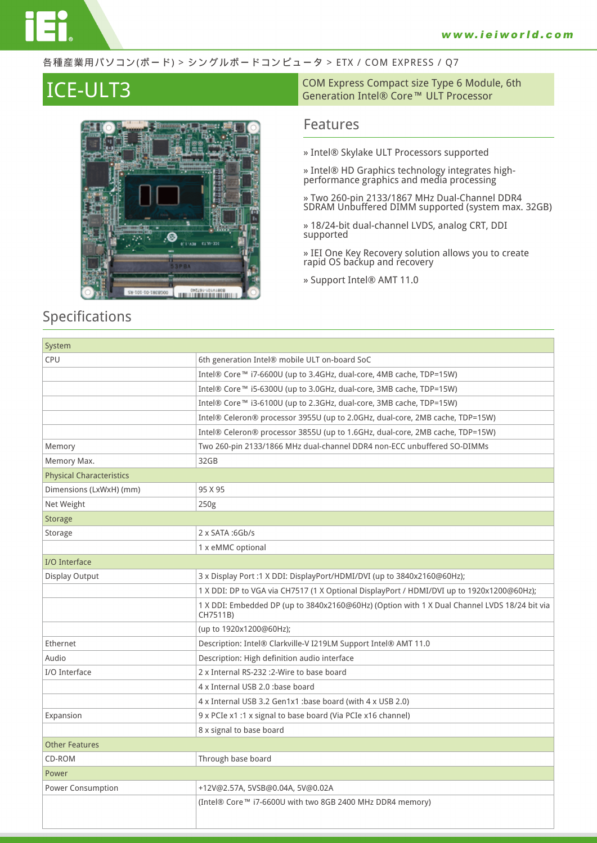#### 各種産業用パソコン(ボード) > シングルボードコンピュータ > ETX / COM EXPRESS / Q7



### **Specifications**

**ICE-ULT3**<br>
Generation Intel® Core™ ULT Processor<br>
Generation Intel® Core™ ULT Processor

### **Features**

- **» Intel® Skylake ULT Processors supported**
- **» Intel® HD Graphics technology integrates highperformance graphics and media processing**
- **» Two 260-pin 2133/1867 MHz Dual-Channel DDR4 SDRAM Unbuffered DIMM supported (system max. 32GB)**
- **» 18/24-bit dual-channel LVDS, analog CRT, DDI supported**
- **» IEI One Key Recovery solution allows you to create rapid OS backup and recovery**
- **» Support Intel® AMT 11.0**

| System                          |                                                                                                          |
|---------------------------------|----------------------------------------------------------------------------------------------------------|
| CPU                             | 6th generation Intel® mobile ULT on-board SoC                                                            |
|                                 | Intel® Core™ i7-6600U (up to 3.4GHz, dual-core, 4MB cache, TDP=15W)                                      |
|                                 | Intel® Core™ i5-6300U (up to 3.0GHz, dual-core, 3MB cache, TDP=15W)                                      |
|                                 | Intel® Core™ i3-6100U (up to 2.3GHz, dual-core, 3MB cache, TDP=15W)                                      |
|                                 | Intel® Celeron® processor 3955U (up to 2.0GHz, dual-core, 2MB cache, TDP=15W)                            |
|                                 | Intel® Celeron® processor 3855U (up to 1.6GHz, dual-core, 2MB cache, TDP=15W)                            |
| Memory                          | Two 260-pin 2133/1866 MHz dual-channel DDR4 non-ECC unbuffered SO-DIMMs                                  |
| Memory Max.                     | 32GB                                                                                                     |
| <b>Physical Characteristics</b> |                                                                                                          |
| Dimensions (LxWxH) (mm)         | 95 X 95                                                                                                  |
| Net Weight                      | 250g                                                                                                     |
| <b>Storage</b>                  |                                                                                                          |
| Storage                         | 2 x SATA:6Gb/s                                                                                           |
|                                 | 1 x eMMC optional                                                                                        |
| I/O Interface                   |                                                                                                          |
| Display Output                  | 3 x Display Port :1 X DDI: DisplayPort/HDMI/DVI (up to 3840x2160@60Hz);                                  |
|                                 | 1 X DDI: DP to VGA via CH7517 (1 X Optional DisplayPort / HDMI/DVI up to 1920x1200@60Hz);                |
|                                 | 1 X DDI: Embedded DP (up to 3840x2160@60Hz) (Option with 1 X Dual Channel LVDS 18/24 bit via<br>CH7511B) |
|                                 | (up to 1920x1200@60Hz);                                                                                  |
| Ethernet                        | Description: Intel® Clarkville-V I219LM Support Intel® AMT 11.0                                          |
| Audio                           | Description: High definition audio interface                                                             |
| I/O Interface                   | 2 x Internal RS-232 : 2-Wire to base board                                                               |
|                                 | 4 x Internal USB 2.0 :base board                                                                         |
|                                 | 4 x Internal USB 3.2 Gen1x1 :base board (with 4 x USB 2.0)                                               |
| Expansion                       | 9 x PCIe x1 :1 x signal to base board (Via PCIe x16 channel)                                             |
|                                 | 8 x signal to base board                                                                                 |
| <b>Other Features</b>           |                                                                                                          |
| CD-ROM                          | Through base board                                                                                       |
| Power                           |                                                                                                          |
| Power Consumption               | +12V@2.57A, 5VSB@0.04A, 5V@0.02A                                                                         |
|                                 | (Intel® Core™ i7-6600U with two 8GB 2400 MHz DDR4 memory)                                                |